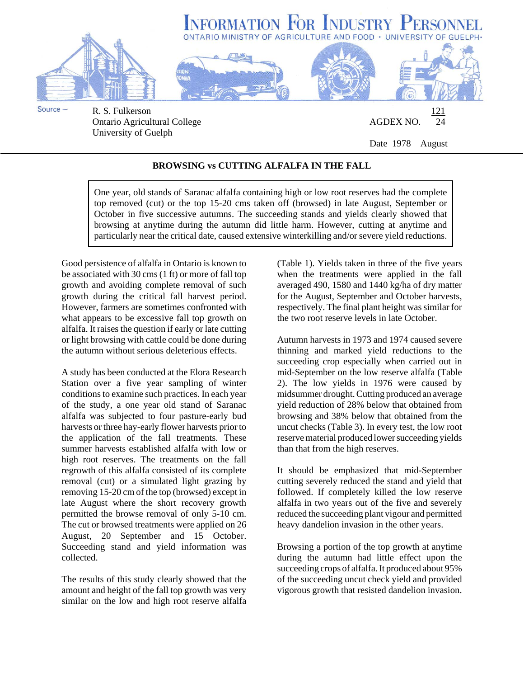

University of Guelph

Date 1978 August

## **BROWSING vs CUTTING ALFALFA IN THE FALL**

One year, old stands of Saranac alfalfa containing high or low root reserves had the complete top removed (cut) or the top 15-20 cms taken off (browsed) in late August, September or October in five successive autumns. The succeeding stands and yields clearly showed that browsing at anytime during the autumn did little harm. However, cutting at anytime and particularly near the critical date, caused extensive winterkilling and/or severe yield reductions.

Good persistence of alfalfa in Ontario is known to be associated with 30 cms (1 ft) or more of fall top growth and avoiding complete removal of such growth during the critical fall harvest period. However, farmers are sometimes confronted with what appears to be excessive fall top growth on alfalfa. It raises the question if early or late cutting or light browsing with cattle could be done during the autumn without serious deleterious effects.

A study has been conducted at the Elora Research Station over a five year sampling of winter conditions to examine such practices. In each year of the study, a one year old stand of Saranac alfalfa was subjected to four pasture-early bud harvests or three hay-early flower harvests prior to the application of the fall treatments. These summer harvests established alfalfa with low or high root reserves. The treatments on the fall regrowth of this alfalfa consisted of its complete removal (cut) or a simulated light grazing by removing 15-20 cm of the top (browsed) except in late August where the short recovery growth permitted the browse removal of only 5-10 cm. The cut or browsed treatments were applied on 26 August, 20 September and 15 October. Succeeding stand and yield information was collected.

The results of this study clearly showed that the amount and height of the fall top growth was very similar on the low and high root reserve alfalfa

(Table 1). Yields taken in three of the five years when the treatments were applied in the fall averaged 490, 1580 and 1440 kg/ha of dry matter for the August, September and October harvests, respectively. The final plant height was similar for the two root reserve levels in late October.

Autumn harvests in 1973 and 1974 caused severe thinning and marked yield reductions to the succeeding crop especially when carried out in mid-September on the low reserve alfalfa (Table 2). The low yields in 1976 were caused by midsummer drought. Cutting produced an average yield reduction of 28% below that obtained from browsing and 38% below that obtained from the uncut checks (Table 3). In every test, the low root reserve material produced lower succeeding yields than that from the high reserves.

It should be emphasized that mid-September cutting severely reduced the stand and yield that followed. If completely killed the low reserve alfalfa in two years out of the five and severely reduced the succeeding plant vigour and permitted heavy dandelion invasion in the other years.

Browsing a portion of the top growth at anytime during the autumn had little effect upon the succeeding crops of alfalfa. It produced about 95% of the succeeding uncut check yield and provided vigorous growth that resisted dandelion invasion.